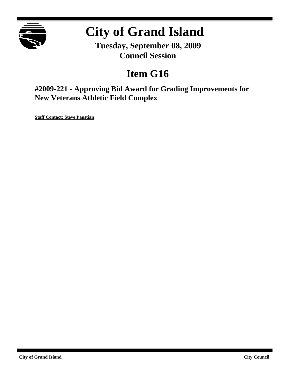

# **City of Grand Island**

**Tuesday, September 08, 2009 Council Session**

## **Item G16**

**#2009-221 - Approving Bid Award for Grading Improvements for New Veterans Athletic Field Complex**

**Staff Contact: Steve Paustian**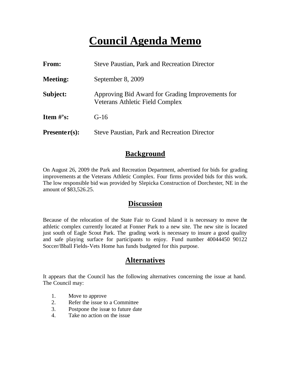## **Council Agenda Memo**

| <b>From:</b>    | <b>Steve Paustian, Park and Recreation Director</b>                                        |  |
|-----------------|--------------------------------------------------------------------------------------------|--|
| <b>Meeting:</b> | September 8, 2009                                                                          |  |
| Subject:        | Approving Bid Award for Grading Improvements for<br><b>Veterans Athletic Field Complex</b> |  |
| Item $\#$ 's:   | $G-16$                                                                                     |  |
| $Presenter(s):$ | <b>Steve Paustian, Park and Recreation Director</b>                                        |  |

### **Background**

On August 26, 2009 the Park and Recreation Department, advertised for bids for grading improvements at the Veterans Athletic Complex. Four firms provided bids for this work. The low responsible bid was provided by Slepicka Construction of Dorchester, NE in the amount of \$83,526.25.

#### **Discussion**

Because of the relocation of the State Fair to Grand Island it is necessary to move the athletic complex currently located at Fonner Park to a new site. The new site is located just south of Eagle Scout Park. The grading work is necessary to insure a good quality and safe playing surface for participants to enjoy. Fund number 40044450 90122 Soccer/Bball Fields-Vets Home has funds budgeted for this purpose.

### **Alternatives**

It appears that the Council has the following alternatives concerning the issue at hand. The Council may:

- 1. Move to approve
- 2. Refer the issue to a Committee
- 3. Postpone the issue to future date
- 4. Take no action on the issue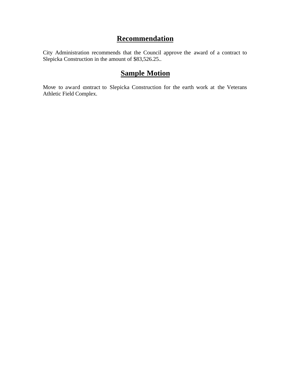## **Recommendation**

City Administration recommends that the Council approve the award of a contract to Slepicka Construction in the amount of \$83,526.25..

## **Sample Motion**

Move to award contract to Slepicka Construction for the earth work at the Veterans Athletic Field Complex.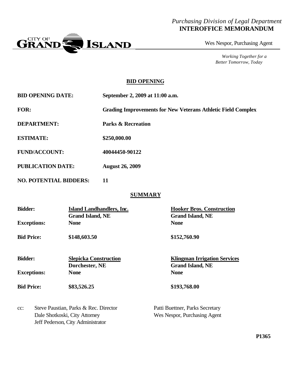#### *Purchasing Division of Legal Department* **INTEROFFICE MEMORANDUM**



Wes Nespor, Purchasing Agent

*Working Together for a Better Tomorrow, Today*

#### **BID OPENING**

**BID OPENING DATE: September 2, 2009 at 11:00 a.m.**

**FOR: Grading Improvements for New Veterans Athletic Field Complex**

**DEPARTMENT: Parks & Recreation**

**ESTIMATE: \$250,000.00**

**FUND/ACCOUNT: 40044450-90122**

**PUBLICATION DATE: August 26, 2009**

**NO. POTENTIAL BIDDERS: 11**

#### **SUMMARY**

| <b>Bidder:</b>     | Island Landhandlers, Inc.<br><b>Grand Island, NE</b> | <b>Hooker Bros. Construction</b><br><b>Grand Island, NE</b>    |
|--------------------|------------------------------------------------------|----------------------------------------------------------------|
| <b>Exceptions:</b> | <b>None</b>                                          | <b>None</b>                                                    |
| <b>Bid Price:</b>  | \$148,603.50                                         | \$152,760.90                                                   |
| <b>Bidder:</b>     | <b>Slepicka Construction</b><br>Dorchester, NE       | <b>Klingman Irrigation Services</b><br><b>Grand Island, NE</b> |
| <b>Exceptions:</b> | <b>None</b>                                          | <b>None</b>                                                    |
| <b>Bid Price:</b>  | \$83,526.25                                          | \$193,768.00                                                   |
| $cc$ :             | Steve Paustian, Parks & Rec. Director                | Patti Buettner, Parks Secretary                                |

Dale Shotkoski, City Attorney Wes Nespor, Purchasing Agent Jeff Pederson, City Administrator

**P1365**